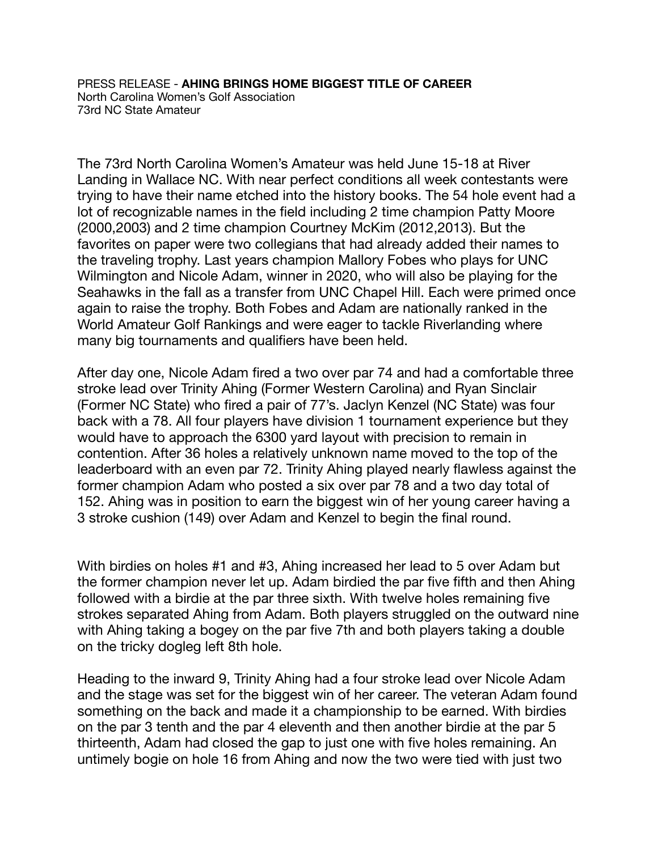PRESS RELEASE - **AHING BRINGS HOME BIGGEST TITLE OF CAREER** North Carolina Women's Golf Association 73rd NC State Amateur

The 73rd North Carolina Women's Amateur was held June 15-18 at River Landing in Wallace NC. With near perfect conditions all week contestants were trying to have their name etched into the history books. The 54 hole event had a lot of recognizable names in the field including 2 time champion Patty Moore (2000,2003) and 2 time champion Courtney McKim (2012,2013). But the favorites on paper were two collegians that had already added their names to the traveling trophy. Last years champion Mallory Fobes who plays for UNC Wilmington and Nicole Adam, winner in 2020, who will also be playing for the Seahawks in the fall as a transfer from UNC Chapel Hill. Each were primed once again to raise the trophy. Both Fobes and Adam are nationally ranked in the World Amateur Golf Rankings and were eager to tackle Riverlanding where many big tournaments and qualifiers have been held.

After day one, Nicole Adam fired a two over par 74 and had a comfortable three stroke lead over Trinity Ahing (Former Western Carolina) and Ryan Sinclair (Former NC State) who fired a pair of 77's. Jaclyn Kenzel (NC State) was four back with a 78. All four players have division 1 tournament experience but they would have to approach the 6300 yard layout with precision to remain in contention. After 36 holes a relatively unknown name moved to the top of the leaderboard with an even par 72. Trinity Ahing played nearly flawless against the former champion Adam who posted a six over par 78 and a two day total of 152. Ahing was in position to earn the biggest win of her young career having a 3 stroke cushion (149) over Adam and Kenzel to begin the final round.

With birdies on holes #1 and #3, Ahing increased her lead to 5 over Adam but the former champion never let up. Adam birdied the par five fifth and then Ahing followed with a birdie at the par three sixth. With twelve holes remaining five strokes separated Ahing from Adam. Both players struggled on the outward nine with Ahing taking a bogey on the par five 7th and both players taking a double on the tricky dogleg left 8th hole.

Heading to the inward 9, Trinity Ahing had a four stroke lead over Nicole Adam and the stage was set for the biggest win of her career. The veteran Adam found something on the back and made it a championship to be earned. With birdies on the par 3 tenth and the par 4 eleventh and then another birdie at the par 5 thirteenth, Adam had closed the gap to just one with five holes remaining. An untimely bogie on hole 16 from Ahing and now the two were tied with just two